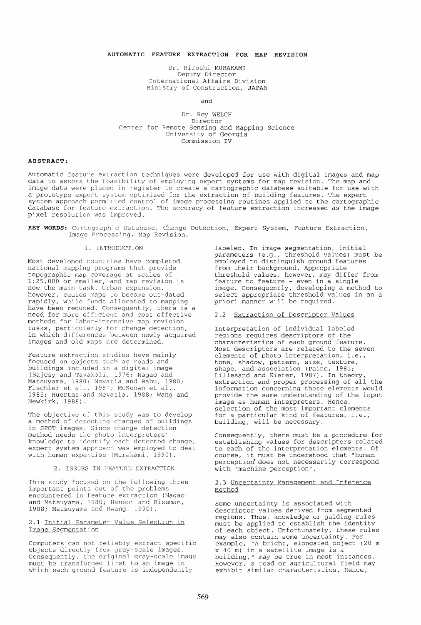# AUTOMATIC FEATURE EXTRACTION FOR MAP REVISION

Dr. Hiroshi MURAKAMI Deputy Director International Affairs Division Ministry of Construction, JAPAN

and

Dr. Roy WELCH Director Center for Remote Sensing and Mapping Science University of Georgia Commission IV

## ABSTRACT:

Automatic feature extraction techniques were developed for use with digital images and map data to assess the feasibility of employing expert systems for map revision. The map and image data were placed in register to create a cartographic database suitable for use with a prototype expert system optimized for the extraction of building features. The expert system approach permitted control of image processing routines applied to the cartographic database for feature extraction. The accuracy of feature extraction increased as the image pixel resolution was improved.

**KEY WORDS:** Cartographic Database, Change Detection, Expert System, Feature Extraction, Image Processing, Map Revision.

### 1. INTRODUCTION

Most developed countries have completed national mapping programs that provide topographic map coverage at scales of 1:25,000 or smaJler, and map revision is now the main task. Urban expansion, however, causes maps to become out-dated rapidly, while funds allocated to mapping have been reduced. Consequently, there is a need for more efficient and cost effective methods for labor-intensive map revision tasks, particularly for change detection, in which differences between newly acquired images and old maps are determined.

Feature extraction studies have mainly focused on objects such as roads and buildings included in a digital image (Bajcsy and Tavakoli, 1976; Nagao and Matsuyama, 1980; Nevatia and Babu, 1980; Fischler et al., 1981; McKeown et al., 1985; Huertas and Nevatia, 1988; Wang and Newkirk, 1988).

The objective of this study was to develop a method of detecting changes of buildings in SPOT images. Since change detection method needs the photo interpreters' knowledge to identify each detected change, expert system approach was employed to deal with human expertise (Murakami, 1990).

### 2. ISSUES IN FEATURE EXTRACTION

This study focused on the following three important points out of the problems encountered in feature extraction (Nagao and Matsuyama, 1980; Hanson and Riseman, 1988; Matsuyama and Hwang, 1990).

### 2.1 Initial Parameter Value Selection in Image Segmentation

Computers can not reliably extract specific objects directly from gray-scale images. Consequently, the original gray-scale image must be transformed first to an image in which each ground feature is independently

labeled. In image segmentation, initial parameters (e.g., threshold values) must be employed to distinguish ground features from their background. Appropriate threshold values, however, may differ from feature to feature - even in a single image. Consequently, developing a method to select appropriate threshold values in an a priori manner will be required.

#### 2.2 Extraction of Descriptor Values

Interpretation of individual labeled regions requires descriptors of the characteristics of each ground feature. Most descriptors are related to the seven elements of photo interpretation, i.e., tone, shadow, pattern, size, texture, shape, and association (Paine, 1981; Lillesand and Kiefer, 1987). In theory, extraction and proper processing of all the information concerning these elements would provide the same understanding of the input image as human interpreters. Hence, selection of the most important elements for a particular kind of features, i.e., building, will be necessary.

Consequently, there must be a procedure for establishing values for descriptors related to each of the interpretation elements. Of co each of the interpretation efements. O<br>course, it must be understood that "human perception does not necessarily correspond with "machine perception".

### 2.3 Uncertainty Management and Inference Method

Some uncertainty is associated with descriptor values derived from segmented regions. Thus, knowledge or guiding rules must be applied to establish the identity of each object. Unfortunately, these rules may also contain some uncertainty. For example, "A bright, elongated object (20 m x 40 m) in a satellite image is a building," may be true in most instances. However, a road or agricultural field may exhibit similar characteristics. Hence,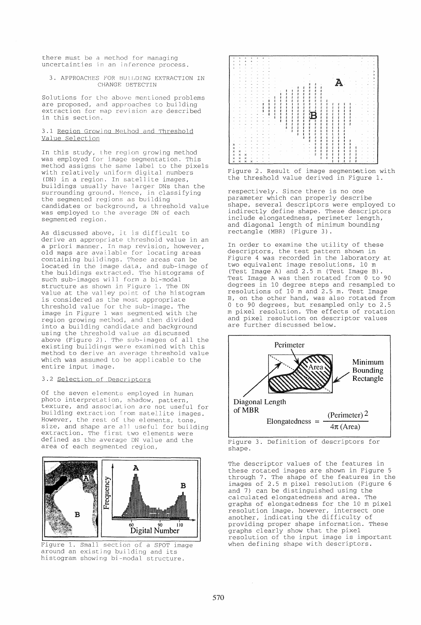there must be a method for managing uncertainties in an inference process.

### 3. APPROACHES FOR BUILDING EXTRACTION IN CHANGE DETECTIN

Solutions for the above mentioned problems are proposed, and approaches to building extraction for map revision are described in this section.

### 3.1 Region Growing Method and Threshold Value Selection

In this study, Lhe region growing method was employed for image segmentation. This method assigns Lhe same label to the pixels with relatively uniform digital numbers (ON) in a region. In satellite images, buildings usually have! larger ONs than the surrounding ground. Hence, in classifying the segmented regions as building candidates or background, a threshold value was employed to the average ON of each segmented region.

As discussed above, it is difficult to derive an appropriate threshold value in an a priori manner. In map revision, however, old maps are available for locating areas containing buildings. These areas can be located in the image data, and sub-image of the buildings extracted. The histograms of such sub-images will form a bi-modal structure as shown in Figure 1. The ON value at the valley point of the histogram is considered as the most appropriate threshold value for the SUb-image. The image in Figure 1 was segmented with the region growing method, and then divided into a building candidate and background using the threshold value as discussed above (Figure 2). The sub-images of all the existing buildings were examined with this method to derive an average threshold value which was assumed to be applicable to the entire input image.

## 3.2 Selection of Descriptors

Of the seven elements employed in human photo interpretation, shadow, pattern, texture, and association are not useful for building extraction from satellite images. However, the rest of Lhe elements, tone, size, and shape are all useful for building extraction. The first two elements were defined as the average ON value and the area of each segmented region,



Figure 1. Small section of a SPOT image around an existing building and its histogram showing bi-modal structure.



Figure 2. Result of image segmentation with the threshold value derived in Figure 1.

respectively. Since there is no one parameter which can properly describe shape, several descriptors were employed to indirectly define shape. These descriptors include elongatedness, perimeter length, and diagonal length of minimum bounding rectangle (MBR) (Figure 3) .

In order to examine the utility of these descriptors, the test pattern shown in Figure 4 was recorded in the laboratory at two equivalent image resolutions, 10 m (Test Image A) and 2.5 m (Test Image B). Test Image A was then rotated from 0 to 90 degrees in 10 degree steps and resampled to resolutions of 10 m and 2.5 **m.** Test Image B, on the other hand, was also rotated from o to 90 degrees, but resampled only to 2.5 m pixel resolution. The effects of rotation and pixel resolution on descriptor values are further discussed below.



Figure **3.** Definition of descriptors for shape.

The descriptor values of the features in these rotated images are shown in Figure 5 through 7. The shape of the features in the images of 2.5 m pixel resolution (Figure 6 and 7) can be distinguished using the calculated elongatedness and area. The graphs of elongatedness for the 10 m pixel resolution image, however, intersect one another, indicating the difficulty of providing proper shape information. These graphs clearly show that the pixel graphs crearly show that the pinciples when defining shape with descriptors.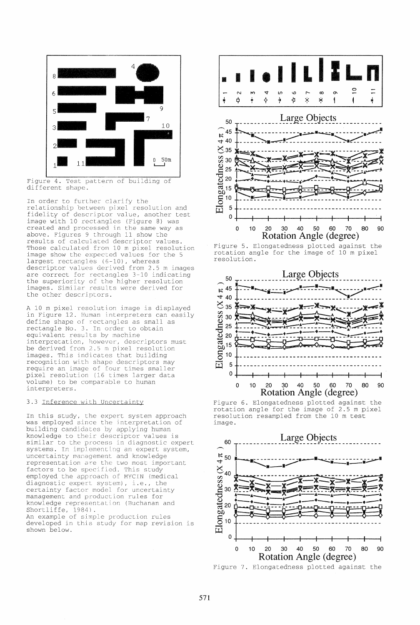

Figure 4. Test pattern of building of different shape.

In order to further clarify the relationship between pixel resolution and fidelity of descriptor value, another test image with 10 rectangles (Figure 8) was created and processed in the same way as above. Figures 9 through 11 show the results of calculated descriptor values. Those calculated from 10 m pixel resolution image show the expected values for the 5 largest rectangles (6-10), whereas descriptor values derived from 2.5 m images are correct for rectangles 3-10 indicating the superiority of the higher resolution images. Similar results were derived for the other descriptors.

A 10 m pixel resolution image is displayed in Figure 12. Human interpreters can easily define shape of rectangles as small as rectangle No.3. In order to obtain equivalent results by machine interpretation, however, descriptors must be derived from 2.5 m pixel resolution images. This indicates that building recognition with shape descriptors may require an image of four times smaller pixel resolution (16 times larger data volume) to be comparable to human interpreters.

### 3.3 Inference with Uncertainty

In this study, the expert system approach was employed since the interpretation of building candidates by applying human knowledge to their descriptor values is similar to the process in diagnostic expert systems. In implementing an expert system, uncertainty wanagement and knowledge representation are the two most important factors to be specified. This study employed the appcoach of MYCIN (medical diagnostic expert system), i.e., the certainty factor model for uncertainty management and production rules for knowledge representation (Buchanan and Shortliffe, 1984). An example of simple production rules

developed in this study for map revision is shown below.



Figure 5. Elongatedness plotted against the rotation angle for the image of 10 m pixel resolution.







Figure 7. Elongatedness plotted against the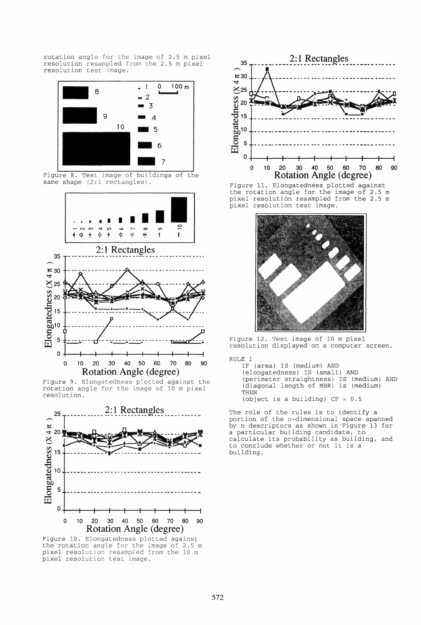rotation angle for the image of 2.5 m pixel resolution resampled from the 2.5 m pixel resolution test image.



Figure 8. Test image of buildings of the same shape (2:1 rectangles).



plotted against the the image of 10 m pixel



Figure 10. Elongatedness plotted against the rotation angle for the image of 2.5 m pixel resolution resampJed from the 10 m pixel resolution test image.



Figure 11. Elongatedness plotted against the rotation angle for the image of 2.5 m pixel resolution resampled from the 2.5 m pixel resolution test image.



Figure 12. Test image of 10 m pixel resolution displayed on a computer screen.

RULE 1 IF (area) IS (medium) AND (elongatedness) IS (small) AND (perimeter straightness) IS (medium) AND (diagonal length of MBR) is (medium) **THEN** (object is a building)  $CF = 0.5$ 

The role of the rules is to identify a portion of the n-dimensional space spanned by n descriptors as shown in "Figure 13 for a particular building candidate, to calculate its probability as building, and to conclude whether or not it is a building.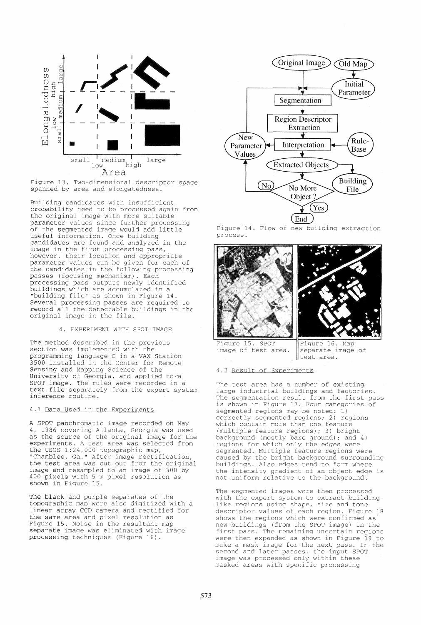

Figure 13. Two-dimensional descriptor space spanned by area and elongatedness.

Building candidates with insufficient probability need to be processed again from the original image with more parameter values since further processing of the segmented image would add little useful information. Once building candidates are found and analyzed in the image in the first processing pass, however, their location and appropriate parameter values can be given for each of the candidates in the following processing passes (focusing mechanism). Each processing pass outputs newly identified buildings which are accumulated in a "building file" as shown in Figure 14. Several processing passes are required to record all the detectable buildings in the original image in the file.

### 4. EXPERIMENT WITH SPOT IMAGE

The method described in the previous section was implemented with the programming language C in a VAX Station 3500 installed in the Center for Remote Sensing and Mapping Science of the University of Georgia, and applied to a SPOT image. The rules were recorded in a text file separately from the expert system inference routine.

#### 4.1 Data Used in the Experiments

A SPOT panchromatic image recorded on May 4, 1986 covering Atlanta, Georgia was used as the source of the original image for the experiments. A test area was selected from the USGS 1:24,000 topographic map, "Chamblee, Ga." After image rectification, the test area was cut out from the original image and resampled to an image of 300 by 400 pixels with 5 m pixel resolution as shown in Figure 15.

The black and purple separates of the topographic map were also digitized with a linear array CCD camera and rectified for the same area and pixel resolution as Figure 15. Noise in the resultant map separate image was eliminated with image processing techniques (Figure 16).



Figure 14. Flow of new building extraction process.





Figure Figure 15. SPOT<br>image of test area.

Figure 16. Map separate image of test area.

### 4.2 Result of Experiments

The test area has a number of existing large industrial buildings and factories. The segmentation result from the first pass is shown in Figure 17. Four categories of segmented regions may be noted: 1) correctly segmented regions; 2) regions which contain more than one feature (multiple feature regions); 3) bright background (mostly bare ground); and 4) regions for which only the edges were segmented. Multiple feature regions were caused by the bright background surrounding buildings. Also edges tend to form where the intensity gradient of an object edge is not uniform relative to the background.

The segmented images were then processed with the expert system to extract buildinglike regions using shape, size and tone descriptor values of each region. Figure 18 shows the regions which were confirmed as new buildings (from the SPOT image) in the first pass. The remaining uncertain regions were then expanded as shown in Figure 19 to make a mask image for the next pass. In the second and later passes, the input SPOT within these processing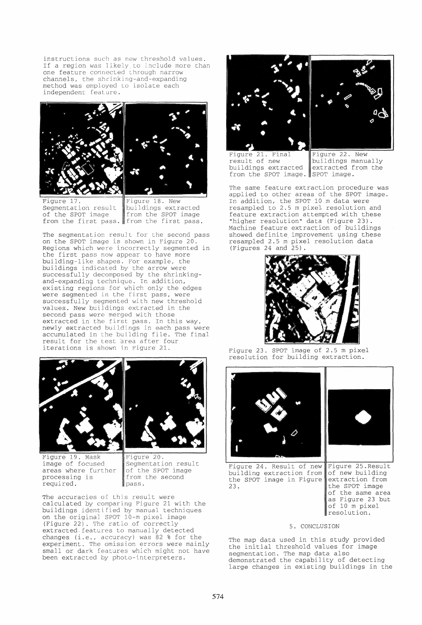instructions such as new threshold values. If a region was likely to include more than one feature connected through narrow channels, the shrinking-and-expanding method was employed to isolate each independent feature.





Figure **17.**  segmentation result of the SPOT image

from the first pass. from the first pass. buildings extracted from the SPOT image

The segmentation result for the second pass on the SPOT image is shown in Figure **20.**  Regions which were incorrectly segmented in the first pass now appear to have more building-like shapes. For example, the buildings indicated by the arrow were successfully decomposed by the shrinkingand-expanding technique. In addition, existing regions for which only the edges were segmented in the first pass, were successfully segmented with new threshold values. New buildings extracted in the second pass were merged with those extracted in the first pass. In this way, newly extracted buildings in each pass were accumulated in the building file. The final result for the test area after four iterations is shown in Figure 21.





Figure **19.** Mask image of focused areas where further processing is required.

Figure 20. Segmentation result of the SPOT image from the second pass.

The accuracies of this result were calculated by comparing Figure 21 with the buildings identified by manual techniques on the original SPOT 10-m pixel image (Figure 22). The ratio of correctly extracted. features to manually detected changes **(i.e.,** accuracy) was 82 % for the experiment. The omission errors were mainly small or dark features which might not have been extracted by photo-interpreters.



Figure **21.** Final result of new buildings extracted from the SPOT image. SPOT image.

buildings manually extracted from the

The same feature extraction procedure was applied to other areas of the SPOT image. In addition, the SPOT 10 m data were resampled to **2.5** m pixel resolution and feature extraction attempted with these "higher resolution" data (Figure 23). Machine feature extraction of buildings showed definite improvement using these resampled 2.5 m'pixel resolution data  $(Fiqures 24 and 25)$ .



Figure **23.** SPOT image of **2.5** m pixel resolution for building extraction.



Figure **24.** Result of new building extraction from the SPOT image in Figure **23.** 

Figure 25.Result of new building extraction from the SPOT image of the same area as Figure 23 but of 10 m pixel resolution.

## 5. CONCLUSION

The map data used in this study provided the initial threshold values for image segmentation. The map data also demonstrated the capability of detecting large changes in existing buildings in the